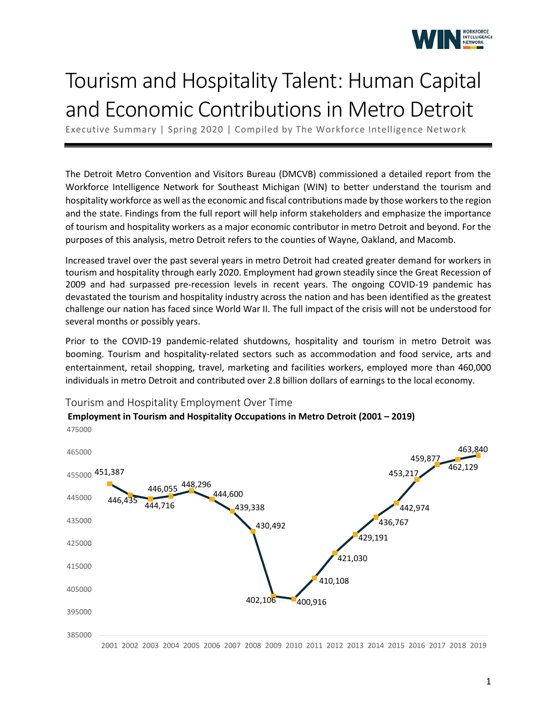

## Tourism and Hospitality Talent: Human Capital and Economic Contributions in Metro Detroit

Executive Summary | Spring 2020 | Compiled by The Workforce Intelligence Network

The Detroit Metro Convention and Visitors Bureau (DMCVB) commissioned a detailed report from the Workforce Intelligence Network for Southeast Michigan (WIN) to better understand the tourism and hospitality workforce as well as the economic and fiscal contributions made by those workers to the region and the state. Findings from the full report will help inform stakeholders and emphasize the importance of tourism and hospitality workers as a major economic contributor in metro Detroit and beyond. For the purposes of this analysis, metro Detroit refers to the counties of Wayne, Oakland, and Macomb.

Increased travel over the past several years in metro Detroit had created greater demand for workers in tourism and hospitality through early 2020. Employment had grown steadily since the Great Recession of 2009 and had surpassed pre-recession levels in recent years. The ongoing COVID-19 pandemic has devastated the tourism and hospitality industry across the nation and has been identified as the greatest challenge our nation has faced since World War II. The full impact of the crisis will not be understood for several months or possibly years.

Prior to the COVID-19 pandemic-related shutdowns, hospitality and tourism in metro Detroit was booming. Tourism and hospitality-related sectors such as accommodation and food service, arts and entertainment, retail shopping, travel, marketing and facilities workers, employed more than 460,000 individuals in metro Detroit and contributed over 2.8 billion dollars of earnings to the local economy.

**Employment in Tourism and Hospitality Occupations in Metro Detroit (2001 – 2019)**



Tourism and Hospitality Employment Over Time